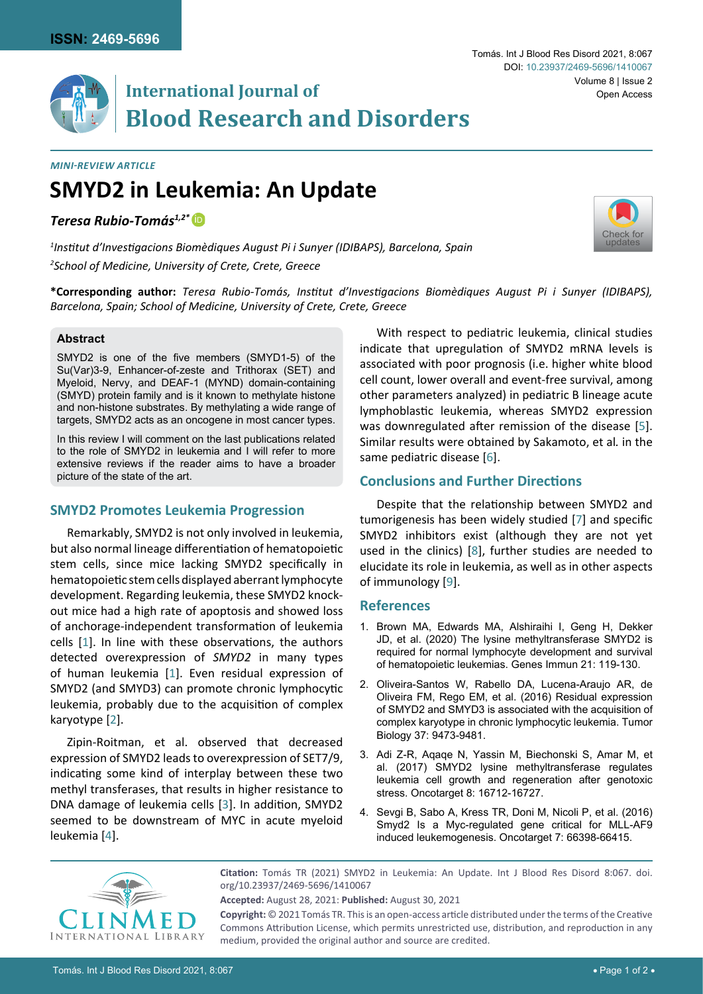

# **International Journal of Blood Research and Disorders**

*Mini-Review Article*

# **SMYD2 in Leukemia: An Update**

*Teresa Rubio-Tomás1,2\** [iD](https://orcid.org/0000-0002-5331-4244)

*1 Institut d'Investigacions Biomèdiques August Pi i Sunyer (IDIBAPS), Barcelona, Spain 2 School of Medicine, University of Crete, Crete, Greece*



**\*Corresponding author:** *Teresa Rubio-Tomás, Institut d'Investigacions Biomèdiques August Pi i Sunyer (IDIBAPS), Barcelona, Spain; School of Medicine, University of Crete, Crete, Greece*

#### **Abstract**

SMYD2 is one of the five members (SMYD1-5) of the Su(Var)3-9, Enhancer-of-zeste and Trithorax (SET) and Myeloid, Nervy, and DEAF-1 (MYND) domain-containing (SMYD) protein family and is it known to methylate histone and non-histone substrates. By methylating a wide range of targets, SMYD2 acts as an oncogene in most cancer types.

In this review I will comment on the last publications related to the role of SMYD2 in leukemia and I will refer to more extensive reviews if the reader aims to have a broader picture of the state of the art.

### **SMYD2 Promotes Leukemia Progression**

Remarkably, SMYD2 is not only involved in leukemia, but also normal lineage differentiation of hematopoietic stem cells, since mice lacking SMYD2 specifically in hematopoietic stem cells displayed aberrant lymphocyte development. Regarding leukemia, these SMYD2 knockout mice had a high rate of apoptosis and showed loss of anchorage-independent transformation of leukemia cells [[1](#page-0-0)]. In line with these observations, the authors detected overexpression of *SMYD2* in many types of human leukemia [[1](#page-0-0)]. Even residual expression of SMYD2 (and SMYD3) can promote chronic lymphocytic leukemia, probably due to the acquisition of complex karyotype [[2\]](#page-0-1).

Zipin-Roitman, et al. observed that decreased expression of SMYD2 leads to overexpression of SET7/9, indicating some kind of interplay between these two methyl transferases, that results in higher resistance to DNA damage of leukemia cells [[3](#page-0-2)]. In addition, SMYD2 seemed to be downstream of MYC in acute myeloid leukemia [[4\]](#page-0-3).

With respect to pediatric leukemia, clinical studies indicate that upregulation of SMYD2 mRNA levels is associated with poor prognosis (i.e. higher white blood cell count, lower overall and event-free survival, among other parameters analyzed) in pediatric B lineage acute lymphoblastic leukemia, whereas SMYD2 expression was downregulated after remission of the disease [[5\]](#page-1-0). Similar results were obtained by Sakamoto, et al*.* in the same pediatric disease [[6\]](#page-1-1).

## **Conclusions and Further Directions**

Despite that the relationship between SMYD2 and tumorigenesis has been widely studied [[7](#page-1-2)] and specific SMYD2 inhibitors exist (although they are not yet used in the clinics) [[8](#page-1-3)], further studies are needed to elucidate its role in leukemia, as well as in other aspects of immunology [[9\]](#page-1-4).

#### **References**

- <span id="page-0-0"></span>1. [Brown MA, Edwards MA, Alshiraihi I, Geng H, Dekker](https://pubmed.ncbi.nlm.nih.gov/32115575/)  [JD, et al. \(2020\) The lysine methyltransferase SMYD2 is](https://pubmed.ncbi.nlm.nih.gov/32115575/)  [required for normal lymphocyte development and survival](https://pubmed.ncbi.nlm.nih.gov/32115575/)  [of hematopoietic leukemias. Genes Immun 21: 119-130.](https://pubmed.ncbi.nlm.nih.gov/32115575/)
- <span id="page-0-1"></span>2. [Oliveira-Santos W, Rabello DA, Lucena-Araujo AR, de](https://pubmed.ncbi.nlm.nih.gov/26790435/)  [Oliveira FM, Rego EM, et al. \(2016\) Residual expression](https://pubmed.ncbi.nlm.nih.gov/26790435/)  [of SMYD2 and SMYD3 is associated with the acquisition of](https://pubmed.ncbi.nlm.nih.gov/26790435/)  [complex karyotype in chronic lymphocytic leukemia. Tumor](https://pubmed.ncbi.nlm.nih.gov/26790435/)  [Biology 37: 9473-9481.](https://pubmed.ncbi.nlm.nih.gov/26790435/)
- <span id="page-0-2"></span>3. [Adi Z-R, Aqaqe N, Yassin M, Biechonski S, Amar M, et](https://pubmed.ncbi.nlm.nih.gov/28187429/)  [al. \(2017\) SMYD2 lysine methyltransferase regulates](https://pubmed.ncbi.nlm.nih.gov/28187429/)  [leukemia cell growth and regeneration after genotoxic](https://pubmed.ncbi.nlm.nih.gov/28187429/)  [stress. Oncotarget 8: 16712-16727.](https://pubmed.ncbi.nlm.nih.gov/28187429/)
- <span id="page-0-3"></span>4. [Sevgi B, Sabo A, Kress TR, Doni M, Nicoli P, et al. \(2016\)](https://pubmed.ncbi.nlm.nih.gov/27655694/)  [Smyd2 Is a Myc-regulated gene critical for MLL-AF9](https://pubmed.ncbi.nlm.nih.gov/27655694/)  [induced leukemogenesis. Oncotarget 7: 66398-66415.](https://pubmed.ncbi.nlm.nih.gov/27655694/)



**Citation:** Tomás TR (2021) SMYD2 in Leukemia: An Update. Int J Blood Res Disord 8:067. [doi.](https://doi.org/10.23937/2469-5696/1410067) [org/10.23937/2469-5696/1410067](https://doi.org/10.23937/2469-5696/1410067)

**Copyright:** © 2021 Tomás TR. This is an open-access article distributed under the terms of the Creative Commons Attribution License, which permits unrestricted use, distribution, and reproduction in any medium, provided the original author and source are credited.

**Accepted:** August 28, 2021: **Published:** August 30, 2021